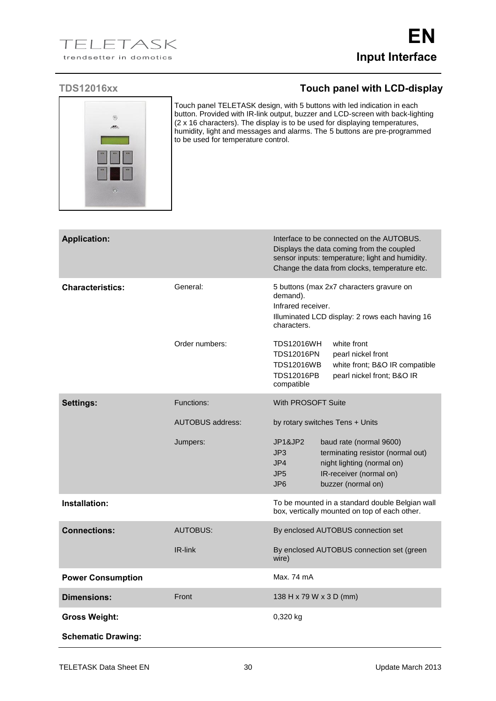

Touch panel TELETASK design, with 5 buttons with led indication in each button. Provided with IR-link output, buzzer and LCD-screen with back-lighting (2 x 16 characters). The display is to be used for displaying temperatures, humidity, light and messages and alarms. The 5 buttons are pre-programmed to be used for temperature control.

| <b>Application:</b>       |                         | Interface to be connected on the AUTOBUS.<br>Displays the data coming from the coupled<br>sensor inputs: temperature; light and humidity.<br>Change the data from clocks, temperature etc.                 |
|---------------------------|-------------------------|------------------------------------------------------------------------------------------------------------------------------------------------------------------------------------------------------------|
| <b>Characteristics:</b>   | General:                | 5 buttons (max 2x7 characters gravure on<br>demand).<br>Infrared receiver.<br>Illuminated LCD display: 2 rows each having 16<br>characters.                                                                |
|                           | Order numbers:          | <b>TDS12016WH</b><br>white front<br><b>TDS12016PN</b><br>pearl nickel front<br><b>TDS12016WB</b><br>white front; B&O IR compatible<br><b>TDS12016PB</b><br>pearl nickel front; B&O IR<br>compatible        |
| Settings:                 | Functions:              | With PROSOFT Suite                                                                                                                                                                                         |
|                           | <b>AUTOBUS address:</b> | by rotary switches Tens + Units                                                                                                                                                                            |
|                           | Jumpers:                | JP1&JP2<br>baud rate (normal 9600)<br>JP3<br>terminating resistor (normal out)<br>JP4<br>night lighting (normal on)<br>JP <sub>5</sub><br>IR-receiver (normal on)<br>JP <sub>6</sub><br>buzzer (normal on) |
| Installation:             |                         | To be mounted in a standard double Belgian wall<br>box, vertically mounted on top of each other.                                                                                                           |
| <b>Connections:</b>       | AUTOBUS:                | By enclosed AUTOBUS connection set                                                                                                                                                                         |
|                           | IR-link                 | By enclosed AUTOBUS connection set (green<br>wire)                                                                                                                                                         |
| <b>Power Consumption</b>  |                         | Max. 74 mA                                                                                                                                                                                                 |
| Dimensions:               | Front                   | 138 H x 79 W x 3 D (mm)                                                                                                                                                                                    |
| <b>Gross Weight:</b>      |                         | 0,320 kg                                                                                                                                                                                                   |
| <b>Schematic Drawing:</b> |                         |                                                                                                                                                                                                            |